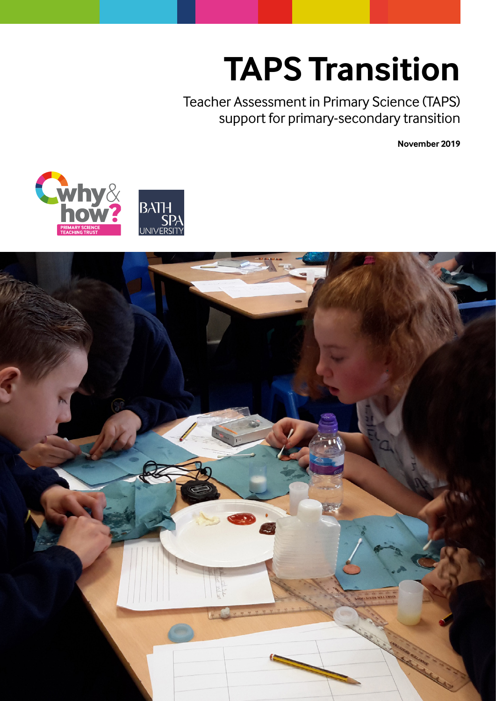# **TAPS Transition**

Teacher Assessment in Primary Science (TAPS) support for primary-secondary transition

**November 2019**



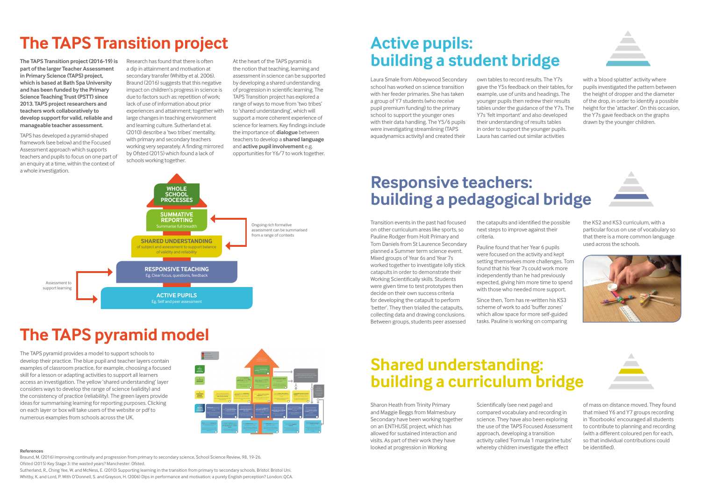### **The TAPS Transition project**

### **The TAPS pyramid model**

**The TAPS Transition project (2016-19) is part of the larger Teacher Assessment in Primary Science (TAPS) project, which is based at Bath Spa University and has been funded by the Primary Science Teaching Trust (PSTT) since 2013. TAPS project researchers and teachers work collaboratively to develop support for valid, reliable and manageable teacher assessment.**

TAPS has developed a pyramid-shaped framework (see below) and the Focused Assessment approach which supports teachers and pupils to focus on one part of an enquiry at a time, within the context of a whole investigation.

Research has found that there is often a dip in attainment and motivation at secondary transfer (Whitby et al. 2006). Braund (2016) suggests that this negative impact on children's progress in science is due to factors such as: repetition of work; lack of use of information about prior experiences and attainment; together with large changes in teaching environment and learning culture. Sutherland et al. (2010) describe a 'two tribes' mentality, with primary and secondary teachers working very separately. A finding mirrored by Ofsted (2015) which found a lack of schools working together.

At the heart of the TAPS pyramid is the notion that teaching, learning and assessment in science can be supported by developing a shared understanding of progression in scientific learning. The TAPS Transition project has explored a range of ways to move from 'two tribes' to 'shared understanding', which will support a more coherent experience of science for learners. Key findings include the importance of: **dialogue** between teachers to develop a **shared language** and **active pupil involvement** e.g. opportunities for Y6/7 to work together.

The TAPS pyramid provides a model to support schools to develop their practice. The blue pupil and teacher layers contain examples of classroom practice, for example, choosing a focused skill for a lesson or adapting activities to support all learners access an investigation. The yellow 'shared understanding' layer considers ways to develop the range of science (validity) and the consistency of practice (reliability). The green layers provide ideas for summarising learning for reporting purposes. Clicking on each layer or box will take users of the website or pdf to numerous examples from schools across the UK.



### **WHOLE SCHOOL PROCESSES SUMMATIVE REPORTING** summarise full breadth **SHARED UNDERSTANDING** subject and assessment to suppor of validity and reliability Ongoing rich formative assessment can be summarised from a range of contexts Assessment to support learning **RESPONSIVE TEACHING** Eg. Clear focus, questions, feedback **ACTIVE PUPILS** Eg. Self and peer assessment

### **Active pupils: building a student bridge**

### **Responsive teachers: building a pedagogical bridge**

## **Shared understanding: building a curriculum bridge**

Laura Smale from Abbeywood Secondary school has worked on science transition with her feeder primaries. She has taken a group of Y7 students (who receive pupil premium funding) to the primary school to support the younger ones with their data handling. The Y5/6 pupils were investigating streamlining (TAPS aquadynamics activity) and created their

own tables to record results. The Y7s gave the Y5s feedback on their tables, for example, use of units and headings. The younger pupils then redrew their results tables under the guidance of the Y7s. The Y7s 'felt important' and also developed their understanding of results tables in order to support the younger pupils. Laura has carried out similar activities

with a 'blood splatter' activity where pupils investigated the pattern between the height of dropper and the diameter of the drop, in order to identify a possible height for the 'attacker'. On this occasion, the Y7s gave feedback on the graphs drawn by the younger children.

Transition events in the past had focused on other curriculum areas like sports, so Pauline Rodger from Holt Primary and Tom Daniels from St Laurence Secondary planned a Summer term science event. Mixed groups of Year 6s and Year 7s worked together to investigate lolly stick catapults in order to demonstrate their Working Scientifically skills. Students were given time to test prototypes then decide on their own success criteria for developing the catapult to perform 'better'. They then trialled the catapults, collecting data and drawing conclusions. Between groups, students peer assessed

the catapults and identified the possible next steps to improve against their criteria.

Pauline found that her Year 6 pupils were focused on the activity and kept setting themselves more challenges. Tom found that his Year 7s could work more independently than he had previously expected, giving him more time to spend with those who needed more support.

Since then, Tom has re-written his KS3 scheme of work to add 'buffer zones' which allow space for more self-guided tasks. Pauline is working on comparing

the KS2 and KS3 curriculum, with a particular focus on use of vocabulary so that there is a more common language used across the schools.





Sharon Heath from Trinity Primary and Maggie Beggs from Malmesbury Secondary have been working together on an ENTHUSE project, which has allowed for sustained interaction and visits. As part of their work they have looked at progression in Working

Scientifically (see next page) and compared vocabulary and recording in science. They have also been exploring the use of the TAPS Focused Assessment approach, developing a transition activity called 'Formula 1 margarine tubs' whereby children investigate the effect be identified). **References**



of mass on distance moved. They found that mixed Y6 and Y7 groups recording in 'floorbooks' encouraged all students to contribute to planning and recording (with a different coloured pen for each, so that individual contributions could

Braund, M. (2016) Improving continuity and progression from primary to secondary science, School Science Review, 98, 19-26. Ofsted (2015) Key Stage 3: the wasted years? Manchester: Ofsted.

Sutherland, R., Ching Yee, W. and McNess, E. (2010) Supporting learning in the transition from primary to secondary schools. Bristol: Bristol Uni. Whitby, K. and Lord, P. With O'Donnell, S. and Grayson, H. (2006) Dips in performance and motivation: a purely English perception? London: QCA.